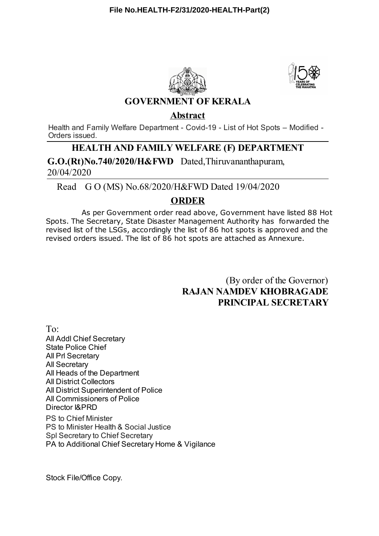



### **GOVERNMENT OF KERALA**

#### **Abstract**

Health and Family Welfare Department - Covid-19 - List of Hot Spots – Modified - Orders issued.

## **HEALTH AND FAMILY WELFARE (F) DEPARTMENT**

**G.O.(Rt)No.740/2020/H&FWD** Dated,Thiruvananthapuram, 20/04/2020

Read G O (MS) No.68/2020/H&FWD Dated 19/04/2020

## **ORDER**

As per Government order read above, Government have listed 88 Hot Spots. The Secretary, State Disaster Management Authority has forwarded the revised list of the LSGs, accordingly the list of 86 hot spots is approved and the revised orders issued. The list of 86 hot spots are attached as Annexure.

> (By order of the Governor) **RAJAN NAMDEV KHOBRAGADE PRINCIPAL SECRETARY**

To: All Addl Chief Secretary State Police Chief All Prl Secretary All Secretary All Heads of the Department All District Collectors All District Superintendent of Police All Commissioners of Police Director I&PRD PS to Chief Minister PS to Minister Health & Social Justice

Spl Secretary to Chief Secretary PA to Additional Chief Secretary Home & Vigilance

Stock File/Office Copy.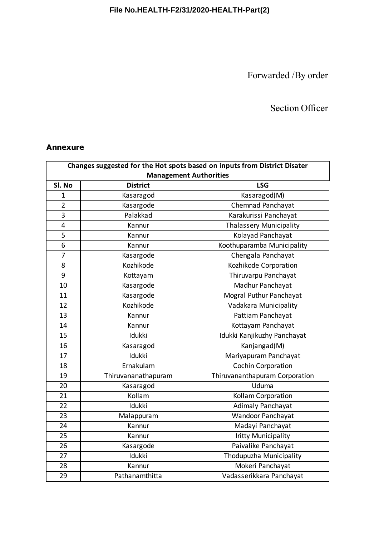## **File No.HEALTH-F2/31/2020-HEALTH-Part(2)**

Forwarded /By order

# Section Officer

#### **Annexure**

| Changes suggested for the Hot spots based on inputs from District Disater |                     |                                |  |  |
|---------------------------------------------------------------------------|---------------------|--------------------------------|--|--|
| <b>Management Authorities</b>                                             |                     |                                |  |  |
| Sl. No                                                                    | <b>District</b>     | <b>LSG</b>                     |  |  |
| $\mathbf{1}$                                                              | Kasaragod           | Kasaragod(M)                   |  |  |
| $\overline{2}$                                                            | Kasargode           | Chemnad Panchayat              |  |  |
| 3                                                                         | Palakkad            | Karakurissi Panchayat          |  |  |
| $\overline{\mathbf{4}}$                                                   | Kannur              | <b>Thalassery Municipality</b> |  |  |
| 5                                                                         | Kannur              | Kolayad Panchayat              |  |  |
| 6                                                                         | Kannur              | Koothuparamba Municipality     |  |  |
| $\overline{7}$                                                            | Kasargode           | Chengala Panchayat             |  |  |
| 8                                                                         | Kozhikode           | Kozhikode Corporation          |  |  |
| 9                                                                         | Kottayam            | Thiruvarpu Panchayat           |  |  |
| 10                                                                        | Kasargode           | Madhur Panchayat               |  |  |
| 11                                                                        | Kasargode           | Mogral Puthur Panchayat        |  |  |
| 12                                                                        | Kozhikode           | Vadakara Municipality          |  |  |
| 13                                                                        | Kannur              | Pattiam Panchayat              |  |  |
| 14                                                                        | Kannur              | Kottayam Panchayat             |  |  |
| 15                                                                        | Idukki              | Idukki Kanjikuzhy Panchayat    |  |  |
| 16                                                                        | Kasaragod           | Kanjangad(M)                   |  |  |
| 17                                                                        | Idukki              | Mariyapuram Panchayat          |  |  |
| 18                                                                        | Ernakulam           | <b>Cochin Corporation</b>      |  |  |
| 19                                                                        | Thiruvananathapuram | Thiruvananthapuram Corporation |  |  |
| 20                                                                        | Kasaragod           | Uduma                          |  |  |
| 21                                                                        | Kollam              | Kollam Corporation             |  |  |
| 22                                                                        | Idukki              | <b>Adimaly Panchayat</b>       |  |  |
| 23                                                                        | Malappuram          | Wandoor Panchayat              |  |  |
| 24                                                                        | Kannur              | Madayi Panchayat               |  |  |
| 25                                                                        | Kannur              | <b>Iritty Municipality</b>     |  |  |
| 26                                                                        | Kasargode           | Paivalike Panchayat            |  |  |
| 27                                                                        | Idukki              | Thodupuzha Municipality        |  |  |
| 28                                                                        | Kannur              | Mokeri Panchayat               |  |  |
| 29                                                                        | Pathanamthitta      | Vadasserikkara Panchayat       |  |  |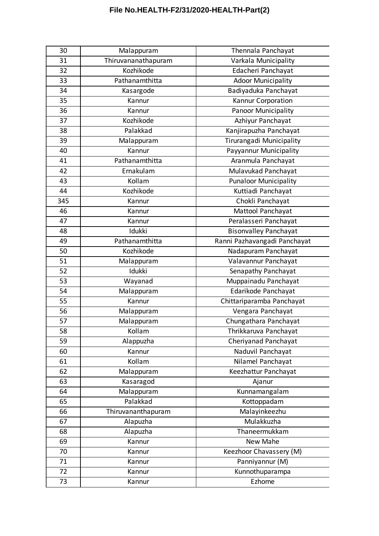# **File No.HEALTH-F2/31/2020-HEALTH-Part(2)**

| 30  | Malappuram          | Thennala Panchayat           |
|-----|---------------------|------------------------------|
| 31  | Thiruvananathapuram | Varkala Municipality         |
| 32  | Kozhikode           | Edacheri Panchayat           |
| 33  | Pathanamthitta      | <b>Adoor Municipality</b>    |
| 34  | Kasargode           | Badiyaduka Panchayat         |
| 35  | Kannur              | Kannur Corporation           |
| 36  | Kannur              | <b>Panoor Municipality</b>   |
| 37  | Kozhikode           | Azhiyur Panchayat            |
| 38  | Palakkad            | Kanjirapuzha Panchayat       |
| 39  | Malappuram          | Tirurangadi Municipality     |
| 40  | Kannur              | Payyannur Municipality       |
| 41  | Pathanamthitta      | Aranmula Panchayat           |
| 42  | Ernakulam           | Mulavukad Panchayat          |
| 43  | Kollam              | <b>Punaloor Municipality</b> |
| 44  | Kozhikode           | Kuttiadi Panchayat           |
| 345 | Kannur              | Chokli Panchayat             |
| 46  | Kannur              | Mattool Panchayat            |
| 47  | Kannur              | Peralasseri Panchayat        |
| 48  | Idukki              | <b>Bisonvalley Panchayat</b> |
| 49  | Pathanamthitta      | Ranni Pazhavangadi Panchayat |
| 50  | Kozhikode           | Nadapuram Panchayat          |
| 51  | Malappuram          | Valavannur Panchayat         |
| 52  | Idukki              | Senapathy Panchayat          |
| 53  | Wayanad             | Muppainadu Panchayat         |
| 54  | Malappuram          | Edarikode Panchayat          |
| 55  | Kannur              | Chittariparamba Panchayat    |
| 56  | Malappuram          | Vengara Panchayat            |
| 57  | Malappuram          | Chungathara Panchayat        |
| 58  | Kollam              | Thrikkaruva Panchayat        |
| 59  | Alappuzha           | Cheriyanad Panchayat         |
| 60  | Kannur              | Naduvil Panchayat            |
| 61  | Kollam              | Nilamel Panchayat            |
| 62  | Malappuram          | Keezhattur Panchayat         |
| 63  | Kasaragod           | Ajanur                       |
| 64  | Malappuram          | Kunnamangalam                |
| 65  | Palakkad            | Kottoppadam                  |
| 66  | Thiruvananthapuram  | Malayinkeezhu                |
| 67  | Alapuzha            | Mulakkuzha                   |
| 68  | Alapuzha            | Thaneermukkam                |
| 69  | Kannur              | New Mahe                     |
| 70  | Kannur              | Keezhoor Chavassery (M)      |
| 71  | Kannur              | Panniyannur (M)              |
| 72  | Kannur              | Kunnothuparampa              |
| 73  | Kannur              | Ezhome                       |